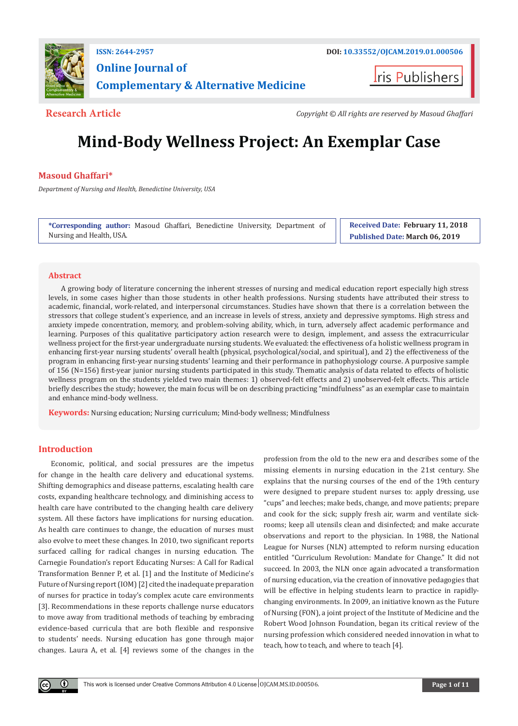

## **ISSN: 2644-2957 DOI: [10.33552/OJCAM.2019.01.000506](http://dx.doi.org/10.33552/OJCAM.2019.01.000506) Online Journal of Complementary & Alternative Medicine**

ris Publishers

**Research Article** *Copyright © All rights are reserved by Masoud Ghaffari*

# **Mind-Body Wellness Project: An Exemplar Case**

### **Masoud Ghaffari\***

*Department of Nursing and Health, Benedictine University, USA*

**\*Corresponding author:** Masoud Ghaffari, Benedictine University, Department of Nursing and Health, USA.

**Received Date: February 11, 2018 Published Date: March 06, 2019**

#### **Abstract**

A growing body of literature concerning the inherent stresses of nursing and medical education report especially high stress levels, in some cases higher than those students in other health professions. Nursing students have attributed their stress to academic, financial, work-related, and interpersonal circumstances. Studies have shown that there is a correlation between the stressors that college student's experience, and an increase in levels of stress, anxiety and depressive symptoms. High stress and anxiety impede concentration, memory, and problem-solving ability, which, in turn, adversely affect academic performance and learning. Purposes of this qualitative participatory action research were to design, implement, and assess the extracurricular wellness project for the first-year undergraduate nursing students. We evaluated: the effectiveness of a holistic wellness program in enhancing first-year nursing students' overall health (physical, psychological/social, and spiritual), and 2) the effectiveness of the program in enhancing first-year nursing students' learning and their performance in pathophysiology course. A purposive sample of 156 (N=156) first-year junior nursing students participated in this study. Thematic analysis of data related to effects of holistic wellness program on the students yielded two main themes: 1) observed-felt effects and 2) unobserved-felt effects. This article briefly describes the study; however, the main focus will be on describing practicing "mindfulness" as an exemplar case to maintain and enhance mind-body wellness.

**Keywords:** Nursing education; Nursing curriculum; Mind-body wellness; Mindfulness

### **Introduction**

 $\left( \mathbf{r} \right)$ 

Economic, political, and social pressures are the impetus for change in the health care delivery and educational systems. Shifting demographics and disease patterns, escalating health care costs, expanding healthcare technology, and diminishing access to health care have contributed to the changing health care delivery system. All these factors have implications for nursing education. As health care continues to change, the education of nurses must also evolve to meet these changes. In 2010, two significant reports surfaced calling for radical changes in nursing education. The Carnegie Foundation's report Educating Nurses: A Call for Radical Transformation Benner P, et al. [1] and the Institute of Medicine's Future of Nursing report (IOM) [2] cited the inadequate preparation of nurses for practice in today's complex acute care environments [3]. Recommendations in these reports challenge nurse educators to move away from traditional methods of teaching by embracing evidence-based curricula that are both flexible and responsive to students' needs. Nursing education has gone through major changes. Laura A, et al. [4] reviews some of the changes in the

profession from the old to the new era and describes some of the missing elements in nursing education in the 21st century. She explains that the nursing courses of the end of the 19th century were designed to prepare student nurses to: apply dressing, use "cups" and leeches; make beds, change, and move patients; prepare and cook for the sick; supply fresh air, warm and ventilate sickrooms; keep all utensils clean and disinfected; and make accurate observations and report to the physician. In 1988, the National League for Nurses (NLN) attempted to reform nursing education entitled "Curriculum Revolution: Mandate for Change." It did not succeed. In 2003, the NLN once again advocated a transformation of nursing education, via the creation of innovative pedagogies that will be effective in helping students learn to practice in rapidlychanging environments. In 2009, an initiative known as the Future of Nursing (FON), a joint project of the Institute of Medicine and the Robert Wood Johnson Foundation, began its critical review of the nursing profession which considered needed innovation in what to teach, how to teach, and where to teach [4].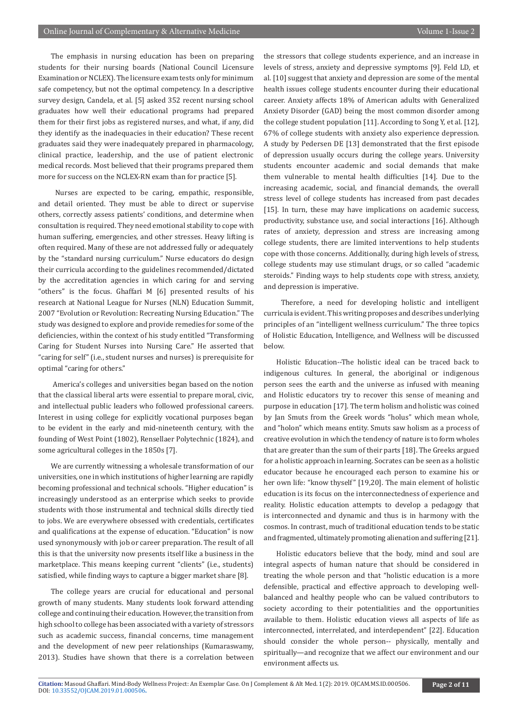The emphasis in nursing education has been on preparing students for their nursing boards (National Council Licensure Examination or NCLEX). The licensure exam tests only for minimum safe competency, but not the optimal competency. In a descriptive survey design, Candela, et al. [5] asked 352 recent nursing school graduates how well their educational programs had prepared them for their first jobs as registered nurses, and what, if any, did they identify as the inadequacies in their education? These recent graduates said they were inadequately prepared in pharmacology, clinical practice, leadership, and the use of patient electronic medical records. Most believed that their programs prepared them more for success on the NCLEX-RN exam than for practice [5].

 Nurses are expected to be caring, empathic, responsible, and detail oriented. They must be able to direct or supervise others, correctly assess patients' conditions, and determine when consultation is required. They need emotional stability to cope with human suffering, emergencies, and other stresses. Heavy lifting is often required. Many of these are not addressed fully or adequately by the "standard nursing curriculum." Nurse educators do design their curricula according to the guidelines recommended/dictated by the accreditation agencies in which caring for and serving "others" is the focus. Ghaffari M [6] presented results of his research at National League for Nurses (NLN) Education Summit, 2007 "Evolution or Revolution: Recreating Nursing Education." The study was designed to explore and provide remedies for some of the deficiencies, within the context of his study entitled "Transforming Caring for Student Nurses into Nursing Care." He asserted that "caring for self" (i.e., student nurses and nurses) is prerequisite for optimal "caring for others."

 America's colleges and universities began based on the notion that the classical liberal arts were essential to prepare moral, civic, and intellectual public leaders who followed professional careers. Interest in using college for explicitly vocational purposes began to be evident in the early and mid-nineteenth century, with the founding of West Point (1802), Rensellaer Polytechnic (1824), and some agricultural colleges in the 1850s [7].

We are currently witnessing a wholesale transformation of our universities, one in which institutions of higher learning are rapidly becoming professional and technical schools. "Higher education" is increasingly understood as an enterprise which seeks to provide students with those instrumental and technical skills directly tied to jobs. We are everywhere obsessed with credentials, certificates and qualifications at the expense of education. "Education" is now used synonymously with job or career preparation. The result of all this is that the university now presents itself like a business in the marketplace. This means keeping current "clients" (i.e., students) satisfied, while finding ways to capture a bigger market share [8].

The college years are crucial for educational and personal growth of many students. Many students look forward attending college and continuing their education. However, the transition from high school to college has been associated with a variety of stressors such as academic success, financial concerns, time management and the development of new peer relationships (Kumaraswamy, 2013). Studies have shown that there is a correlation between

the stressors that college students experience, and an increase in levels of stress, anxiety and depressive symptoms [9]. Feld LD, et al. [10] suggest that anxiety and depression are some of the mental health issues college students encounter during their educational career. Anxiety affects 18% of American adults with Generalized Anxiety Disorder (GAD) being the most common disorder among the college student population [11]. According to Song Y, et al. [12], 67% of college students with anxiety also experience depression. A study by Pedersen DE [13] demonstrated that the first episode of depression usually occurs during the college years. University students encounter academic and social demands that make them vulnerable to mental health difficulties [14]. Due to the increasing academic, social, and financial demands, the overall stress level of college students has increased from past decades [15]. In turn, these may have implications on academic success, productivity, substance use, and social interactions [16]. Although rates of anxiety, depression and stress are increasing among college students, there are limited interventions to help students cope with those concerns. Additionally, during high levels of stress, college students may use stimulant drugs, or so called "academic steroids." Finding ways to help students cope with stress, anxiety, and depression is imperative.

 Therefore, a need for developing holistic and intelligent curricula is evident. This writing proposes and describes underlying principles of an "intelligent wellness curriculum." The three topics of Holistic Education, Intelligence, and Wellness will be discussed below.

Holistic Education--The holistic ideal can be traced back to indigenous cultures. In general, the aboriginal or indigenous person sees the earth and the universe as infused with meaning and Holistic educators try to recover this sense of meaning and purpose in education [17]. The term holism and holistic was coined by Jan Smuts from the Greek words "holus" which mean whole, and "holon" which means entity. Smuts saw holism as a process of creative evolution in which the tendency of nature is to form wholes that are greater than the sum of their parts [18]. The Greeks argued for a holistic approach in learning. Socrates can be seen as a holistic educator because he encouraged each person to examine his or her own life: "know thyself" [19,20]. The main element of holistic education is its focus on the interconnectedness of experience and reality. Holistic education attempts to develop a pedagogy that is interconnected and dynamic and thus is in harmony with the cosmos. In contrast, much of traditional education tends to be static and fragmented, ultimately promoting alienation and suffering [21].

Holistic educators believe that the body, mind and soul are integral aspects of human nature that should be considered in treating the whole person and that "holistic education is a more defensible, practical and effective approach to developing wellbalanced and healthy people who can be valued contributors to society according to their potentialities and the opportunities available to them. Holistic education views all aspects of life as interconnected, interrelated, and interdependent" [22]. Education should consider the whole person-- physically, mentally and spiritually—and recognize that we affect our environment and our environment affects us.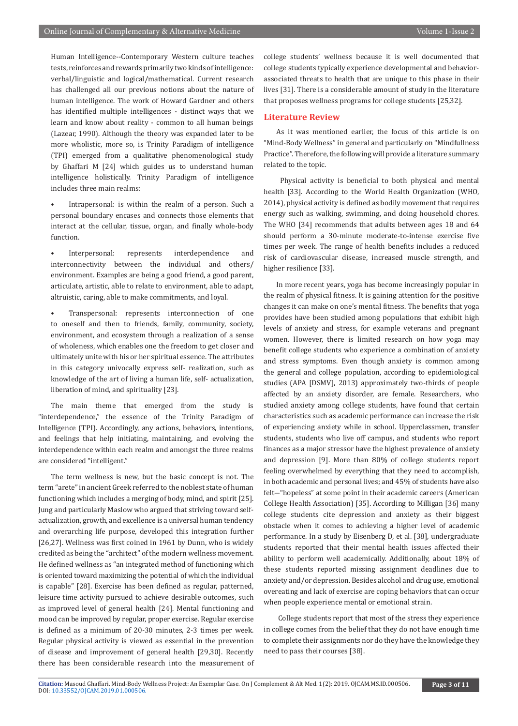Human Intelligence--Contemporary Western culture teaches tests, reinforces and rewards primarily two kinds of intelligence: verbal/linguistic and logical/mathematical. Current research has challenged all our previous notions about the nature of human intelligence. The work of Howard Gardner and others has identified multiple intelligences - distinct ways that we learn and know about reality - common to all human beings (Lazear, 1990). Although the theory was expanded later to be more wholistic, more so, is Trinity Paradigm of intelligence (TPI) emerged from a qualitative phenomenological study by Ghaffari M [24] which guides us to understand human intelligence holistically. Trinity Paradigm of intelligence includes three main realms:

Intrapersonal: is within the realm of a person. Such a personal boundary encases and connects those elements that interact at the cellular, tissue, organ, and finally whole-body function.

Interpersonal: represents interdependence and interconnectivity between the individual and others/ environment. Examples are being a good friend, a good parent, articulate, artistic, able to relate to environment, able to adapt, altruistic, caring, able to make commitments, and loyal.

Transpersonal: represents interconnection of one to oneself and then to friends, family, community, society, environment, and ecosystem through a realization of a sense of wholeness, which enables one the freedom to get closer and ultimately unite with his or her spiritual essence. The attributes in this category univocally express self- realization, such as knowledge of the art of living a human life, self- actualization, liberation of mind, and spirituality [23].

The main theme that emerged from the study is "interdependence," the essence of the Trinity Paradigm of Intelligence (TPI). Accordingly, any actions, behaviors, intentions, and feelings that help initiating, maintaining, and evolving the interdependence within each realm and amongst the three realms are considered "intelligent."

The term wellness is new, but the basic concept is not. The term "arete" in ancient Greek referred to the noblest state of human functioning which includes a merging of body, mind, and spirit [25]. Jung and particularly Maslow who argued that striving toward selfactualization, growth, and excellence is a universal human tendency and overarching life purpose, developed this integration further [26,27]. Wellness was first coined in 1961 by Dunn, who is widely credited as being the "architect" of the modern wellness movement. He defined wellness as "an integrated method of functioning which is oriented toward maximizing the potential of which the individual is capable" [28]. Exercise has been defined as regular, patterned, leisure time activity pursued to achieve desirable outcomes, such as improved level of general health [24]. Mental functioning and mood can be improved by regular, proper exercise. Regular exercise is defined as a minimum of 20-30 minutes, 2-3 times per week. Regular physical activity is viewed as essential in the prevention of disease and improvement of general health [29,30]. Recently there has been considerable research into the measurement of college students' wellness because it is well documented that college students typically experience developmental and behaviorassociated threats to health that are unique to this phase in their lives [31]. There is a considerable amount of study in the literature that proposes wellness programs for college students [25,32].

#### **Literature Review**

As it was mentioned earlier, the focus of this article is on "Mind-Body Wellness" in general and particularly on "Mindfullness Practice". Therefore, the following will provide a literature summary related to the topic.

 Physical activity is beneficial to both physical and mental health [33]. According to the World Health Organization (WHO, 2014), physical activity is defined as bodily movement that requires energy such as walking, swimming, and doing household chores. The WHO [34] recommends that adults between ages 18 and 64 should perform a 30-minute moderate-to-intense exercise five times per week. The range of health benefits includes a reduced risk of cardiovascular disease, increased muscle strength, and higher resilience [33].

In more recent years, yoga has become increasingly popular in the realm of physical fitness. It is gaining attention for the positive changes it can make on one's mental fitness. The benefits that yoga provides have been studied among populations that exhibit high levels of anxiety and stress, for example veterans and pregnant women. However, there is limited research on how yoga may benefit college students who experience a combination of anxiety and stress symptoms. Even though anxiety is common among the general and college population, according to epidemiological studies (APA [DSMV], 2013) approximately two-thirds of people affected by an anxiety disorder, are female. Researchers, who studied anxiety among college students, have found that certain characteristics such as academic performance can increase the risk of experiencing anxiety while in school. Upperclassmen, transfer students, students who live off campus, and students who report finances as a major stressor have the highest prevalence of anxiety and depression [9]. More than 80% of college students report feeling overwhelmed by everything that they need to accomplish, in both academic and personal lives; and 45% of students have also felt―"hopeless" at some point in their academic careers (American College Health Association) [35]. According to Milligan [36] many college students cite depression and anxiety as their biggest obstacle when it comes to achieving a higher level of academic performance. In a study by Eisenberg D, et al. [38], undergraduate students reported that their mental health issues affected their ability to perform well academically. Additionally, about 18% of these students reported missing assignment deadlines due to anxiety and/or depression. Besides alcohol and drug use, emotional overeating and lack of exercise are coping behaviors that can occur when people experience mental or emotional strain.

 College students report that most of the stress they experience in college comes from the belief that they do not have enough time to complete their assignments nor do they have the knowledge they need to pass their courses [38].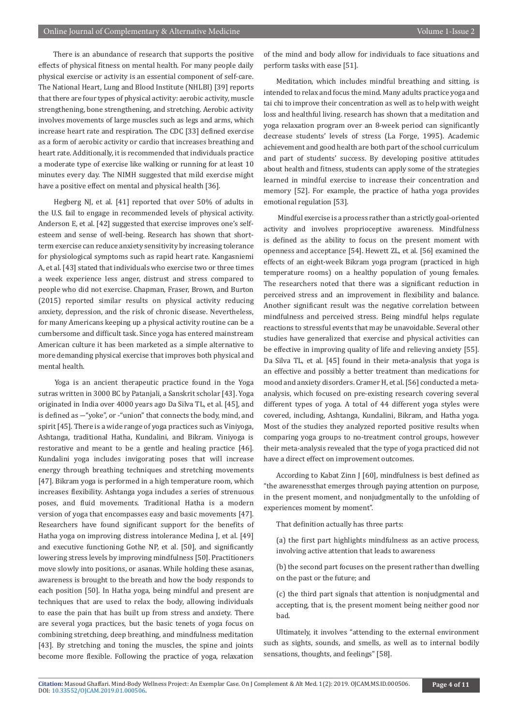There is an abundance of research that supports the positive effects of physical fitness on mental health. For many people daily physical exercise or activity is an essential component of self-care. The National Heart, Lung and Blood Institute (NHLBI) [39] reports that there are four types of physical activity: aerobic activity, muscle strengthening, bone strengthening, and stretching. Aerobic activity involves movements of large muscles such as legs and arms, which increase heart rate and respiration. The CDC [33] defined exercise as a form of aerobic activity or cardio that increases breathing and heart rate. Additionally, it is recommended that individuals practice a moderate type of exercise like walking or running for at least 10 minutes every day. The NIMH suggested that mild exercise might have a positive effect on mental and physical health [36].

 Hegberg NJ, et al. [41] reported that over 50% of adults in the U.S. fail to engage in recommended levels of physical activity. Anderson E, et al. [42] suggested that exercise improves one's selfesteem and sense of well-being. Research has shown that shortterm exercise can reduce anxiety sensitivity by increasing tolerance for physiological symptoms such as rapid heart rate. Kangasniemi A, et al. [43] stated that individuals who exercise two or three times a week experience less anger, distrust and stress compared to people who did not exercise. Chapman, Fraser, Brown, and Burton (2015) reported similar results on physical activity reducing anxiety, depression, and the risk of chronic disease. Nevertheless, for many Americans keeping up a physical activity routine can be a cumbersome and difficult task. Since yoga has entered mainstream American culture it has been marketed as a simple alternative to more demanding physical exercise that improves both physical and mental health.

 Yoga is an ancient therapeutic practice found in the Yoga sutras written in 3000 BC by Patanjali, a Sanskrit scholar [43]. Yoga originated in India over 4000 years ago Da Silva TL, et al. [45], and is defined as ―"yoke", or -"union" that connects the body, mind, and spirit [45]. There is a wide range of yoga practices such as Viniyoga, Ashtanga, traditional Hatha, Kundalini, and Bikram. Viniyoga is restorative and meant to be a gentle and healing practice [46]. Kundalini yoga includes invigorating poses that will increase energy through breathing techniques and stretching movements [47]. Bikram yoga is performed in a high temperature room, which increases flexibility. Ashtanga yoga includes a series of strenuous poses, and fluid movements. Traditional Hatha is a modern version of yoga that encompasses easy and basic movements [47]. Researchers have found significant support for the benefits of Hatha yoga on improving distress intolerance Medina J, et al. [49] and executive functioning Gothe NP, et al. [50], and significantly lowering stress levels by improving mindfulness [50]. Practitioners move slowly into positions, or asanas. While holding these asanas, awareness is brought to the breath and how the body responds to each position [50]. In Hatha yoga, being mindful and present are techniques that are used to relax the body, allowing individuals to ease the pain that has built up from stress and anxiety. There are several yoga practices, but the basic tenets of yoga focus on combining stretching, deep breathing, and mindfulness meditation [43]. By stretching and toning the muscles, the spine and joints become more flexible. Following the practice of yoga, relaxation

of the mind and body allow for individuals to face situations and perform tasks with ease [51].

Meditation, which includes mindful breathing and sitting, is intended to relax and focus the mind. Many adults practice yoga and tai chi to improve their concentration as well as to help with weight loss and healthful living. research has shown that a meditation and yoga relaxation program over an 8-week period can significantly decrease students' levels of stress (La Forge, 1995). Academic achievement and good health are both part of the school curriculum and part of students' success. By developing positive attitudes about health and fitness, students can apply some of the strategies learned in mindful exercise to increase their concentration and memory [52]. For example, the practice of hatha yoga provides emotional regulation [53].

 Mindful exercise is a process rather than a strictly goal-oriented activity and involves proprioceptive awareness. Mindfulness is defined as the ability to focus on the present moment with openness and acceptance [54]. Hewett ZL, et al. [56] examined the effects of an eight-week Bikram yoga program (practiced in high temperature rooms) on a healthy population of young females. The researchers noted that there was a significant reduction in perceived stress and an improvement in flexibility and balance. Another significant result was the negative correlation between mindfulness and perceived stress. Being mindful helps regulate reactions to stressful events that may be unavoidable. Several other studies have generalized that exercise and physical activities can be effective in improving quality of life and relieving anxiety [55]. Da Silva TL, et al. [45] found in their meta-analysis that yoga is an effective and possibly a better treatment than medications for mood and anxiety disorders. Cramer H, et al. [56] conducted a metaanalysis, which focused on pre-existing research covering several different types of yoga. A total of 44 different yoga styles were covered, including, Ashtanga, Kundalini, Bikram, and Hatha yoga. Most of the studies they analyzed reported positive results when comparing yoga groups to no-treatment control groups, however their meta-analysis revealed that the type of yoga practiced did not have a direct effect on improvement outcomes.

According to Kabat Zinn J [60], mindfulness is best defined as "the awarenessthat emerges through paying attention on purpose, in the present moment, and nonjudgmentally to the unfolding of experiences moment by moment".

That definition actually has three parts:

(a) the first part highlights mindfulness as an active process, involving active attention that leads to awareness

(b) the second part focuses on the present rather than dwelling on the past or the future; and

(c) the third part signals that attention is nonjudgmental and accepting, that is, the present moment being neither good nor bad.

Ultimately, it involves "attending to the external environment such as sights, sounds, and smells, as well as to internal bodily sensations, thoughts, and feelings" [58].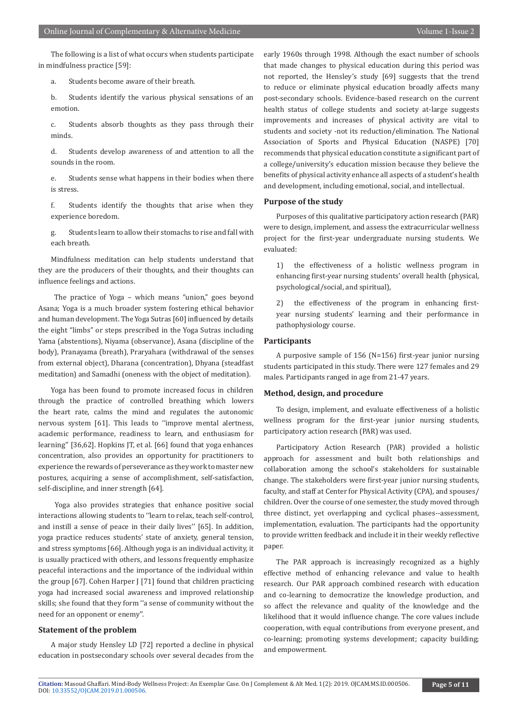The following is a list of what occurs when students participate in mindfulness practice [59]:

a. Students become aware of their breath.

b. Students identify the various physical sensations of an emotion.

c. Students absorb thoughts as they pass through their minds.

d. Students develop awareness of and attention to all the sounds in the room.

e. Students sense what happens in their bodies when there is stress.

f. Students identify the thoughts that arise when they experience boredom.

g. Students learn to allow their stomachs to rise and fall with each breath.

Mindfulness meditation can help students understand that they are the producers of their thoughts, and their thoughts can influence feelings and actions.

 The practice of Yoga – which means "union," goes beyond Asana; Yoga is a much broader system fostering ethical behavior and human development. The Yoga Sutras [60] influenced by details the eight "limbs" or steps prescribed in the Yoga Sutras including Yama (abstentions), Niyama (observance), Asana (discipline of the body), Pranayama (breath), Praryahara (withdrawal of the senses from external object), Dharana (concentration), Dhyana (steadfast meditation) and Samadhi (oneness with the object of meditation).

Yoga has been found to promote increased focus in children through the practice of controlled breathing which lowers the heart rate, calms the mind and regulates the autonomic nervous system [61]. This leads to ''improve mental alertness, academic performance, readiness to learn, and enthusiasm for learning'' [36,62]. Hopkins JT, et al. [66] found that yoga enhances concentration, also provides an opportunity for practitioners to experience the rewards of perseverance as they work to master new postures, acquiring a sense of accomplishment, self-satisfaction, self-discipline, and inner strength [64].

 Yoga also provides strategies that enhance positive social interactions allowing students to ''learn to relax, teach self-control, and instill a sense of peace in their daily lives'' [65]. In addition, yoga practice reduces students' state of anxiety, general tension, and stress symptoms [66]. Although yoga is an individual activity, it is usually practiced with others, and lessons frequently emphasize peaceful interactions and the importance of the individual within the group [67]. Cohen Harper J [71] found that children practicing yoga had increased social awareness and improved relationship skills; she found that they form ''a sense of community without the need for an opponent or enemy''.

#### **Statement of the problem**

A major study Hensley LD [72] reported a decline in physical education in postsecondary schools over several decades from the

early 1960s through 1998. Although the exact number of schools that made changes to physical education during this period was not reported, the Hensley's study [69] suggests that the trend to reduce or eliminate physical education broadly affects many post-secondary schools. Evidence-based research on the current health status of college students and society at-large suggests improvements and increases of physical activity are vital to students and society -not its reduction/elimination. The National Association of Sports and Physical Education (NASPE) [70] recommends that physical education constitute a significant part of a college/university's education mission because they believe the benefits of physical activity enhance all aspects of a student's health and development, including emotional, social, and intellectual.

#### **Purpose of the study**

Purposes of this qualitative participatory action research (PAR) were to design, implement, and assess the extracurricular wellness project for the first-year undergraduate nursing students. We evaluated:

1) the effectiveness of a holistic wellness program in enhancing first-year nursing students' overall health (physical, psychological/social, and spiritual),

2) the effectiveness of the program in enhancing firstyear nursing students' learning and their performance in pathophysiology course.

#### **Participants**

A purposive sample of 156 (N=156) first-year junior nursing students participated in this study. There were 127 females and 29 males. Participants ranged in age from 21-47 years.

#### **Method, design, and procedure**

To design, implement, and evaluate effectiveness of a holistic wellness program for the first-year junior nursing students, participatory action research (PAR) was used.

Participatory Action Research (PAR) provided a holistic approach for assessment and built both relationships and collaboration among the school's stakeholders for sustainable change. The stakeholders were first-year junior nursing students, faculty, and staff at Center for Physical Activity (CPA), and spouses/ children. Over the course of one semester, the study moved through three distinct, yet overlapping and cyclical phases--assessment, implementation, evaluation. The participants had the opportunity to provide written feedback and include it in their weekly reflective paper.

The PAR approach is increasingly recognized as a highly effective method of enhancing relevance and value to health research. Our PAR approach combined research with education and co-learning to democratize the knowledge production, and so affect the relevance and quality of the knowledge and the likelihood that it would influence change. The core values include cooperation, with equal contributions from everyone present, and co-learning; promoting systems development; capacity building; and empowerment.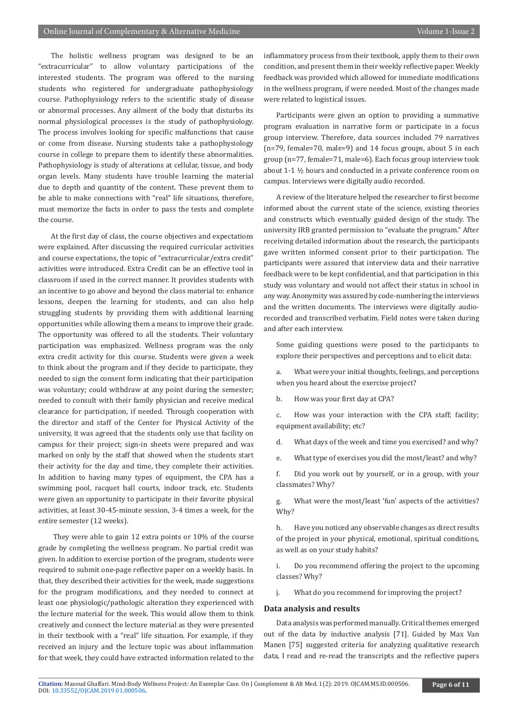The holistic wellness program was designed to be an "extracurricular" to allow voluntary participations of the interested students. The program was offered to the nursing students who registered for undergraduate pathophysiology course. Pathophysiology refers to the scientific study of disease or abnormal processes. Any ailment of the body that disturbs its normal physiological processes is the study of pathophysiology. The process involves looking for specific malfunctions that cause or come from disease. Nursing students take a pathophysiology course in college to prepare them to identify these abnormalities. Pathophysiology is study of alterations at cellular, tissue, and body organ levels. Many students have trouble learning the material due to depth and quantity of the content. These prevent them to be able to make connections with "real" life situations, therefore, must memorize the facts in order to pass the tests and complete the course.

At the first day of class, the course objectives and expectations were explained. After discussing the required curricular activities and course expectations, the topic of "extracurricular/extra credit" activities were introduced. Extra Credit can be an effective tool in classroom if used in the correct manner. It provides students with an incentive to go above and beyond the class material to: enhance lessons, deepen the learning for students, and can also help struggling students by providing them with additional learning opportunities while allowing them a means to improve their grade. The opportunity was offered to all the students. Their voluntary participation was emphasized. Wellness program was the only extra credit activity for this course. Students were given a week to think about the program and if they decide to participate, they needed to sign the consent form indicating that their participation was voluntary; could withdraw at any point during the semester; needed to consult with their family physician and receive medical clearance for participation, if needed. Through cooperation with the director and staff of the Center for Physical Activity of the university, it was agreed that the students only use that facility on campus for their project; sign-in sheets were prepared and was marked on only by the staff that showed when the students start their activity for the day and time, they complete their activities. In addition to having many types of equipment, the CPA has a swimming pool, racquet ball courts, indoor track, etc. Students were given an opportunity to participate in their favorite physical activities, at least 30-45-minute session, 3-4 times a week, for the entire semester (12 weeks).

 They were able to gain 12 extra points or 10% of the course grade by completing the wellness program. No partial credit was given. In addition to exercise portion of the program, students were required to submit one-page reflective paper on a weekly basis. In that, they described their activities for the week, made suggestions for the program modifications, and they needed to connect at least one physiologic/pathologic alteration they experienced with the lecture material for the week. This would allow them to think creatively and connect the lecture material as they were presented in their textbook with a "real" life situation. For example, if they received an injury and the lecture topic was about inflammation for that week, they could have extracted information related to the

inflammatory process from their textbook, apply them to their own condition, and present them in their weekly reflective paper. Weekly feedback was provided which allowed for immediate modifications in the wellness program, if were needed. Most of the changes made were related to logistical issues.

Participants were given an option to providing a summative program evaluation in narrative form or participate in a focus group interview. Therefore, data sources included 79 narratives (n=79, female=70, male=9) and 14 focus groups, about 5 in each group (n=77, female=71, male=6). Each focus group interview took about 1-1 ½ hours and conducted in a private conference room on campus. Interviews were digitally audio recorded.

A review of the literature helped the researcher to first become informed about the current state of the science, existing theories and constructs which eventually guided design of the study. The university IRB granted permission to "evaluate the program." After receiving detailed information about the research, the participants gave written informed consent prior to their participation. The participants were assured that interview data and their narrative feedback were to be kept confidential, and that participation in this study was voluntary and would not affect their status in school in any way. Anonymity was assured by code-numbering the interviews and the written documents. The interviews were digitally audiorecorded and transcribed verbatim. Field notes were taken during and after each interview.

Some guiding questions were posed to the participants to explore their perspectives and perceptions and to elicit data:

a. What were your initial thoughts, feelings, and perceptions when you heard about the exercise project?

b. How was your first day at CPA?

c. How was your interaction with the CPA staff; facility; equipment availability; etc?

d. What days of the week and time you exercised? and why?

e. What type of exercises you did the most/least? and why?

f. Did you work out by yourself, or in a group, with your classmates? Why?

g. What were the most/least 'fun' aspects of the activities? Why?

h. Have you noticed any observable changes as direct results of the project in your physical, emotional, spiritual conditions, as well as on your study habits?

i. Do you recommend offering the project to the upcoming classes? Why?

j. What do you recommend for improving the project?

#### **Data analysis and results**

Data analysis was performed manually. Critical themes emerged out of the data by inductive analysis [71]. Guided by Max Van Manen [75] suggested criteria for analyzing qualitative research data, I read and re-read the transcripts and the reflective papers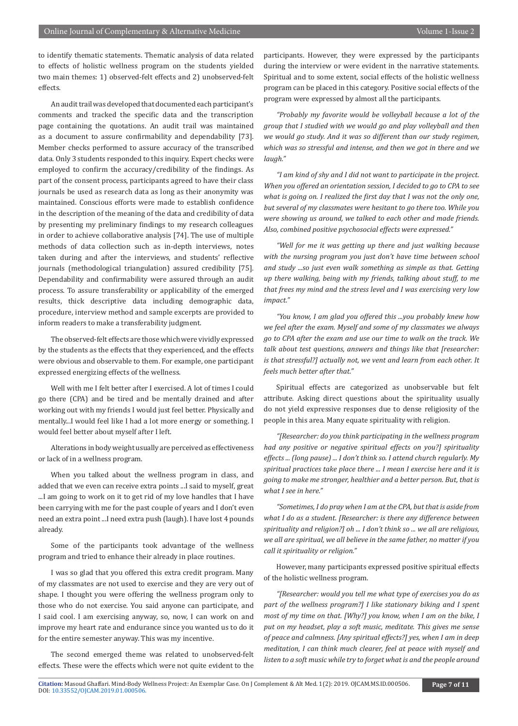to identify thematic statements. Thematic analysis of data related to effects of holistic wellness program on the students yielded two main themes: 1) observed-felt effects and 2) unobserved-felt effects.

An audit trail was developed that documented each participant's comments and tracked the specific data and the transcription page containing the quotations. An audit trail was maintained as a document to assure confirmability and dependability [73]. Member checks performed to assure accuracy of the transcribed data. Only 3 students responded to this inquiry. Expert checks were employed to confirm the accuracy/credibility of the findings. As part of the consent process, participants agreed to have their class journals be used as research data as long as their anonymity was maintained. Conscious efforts were made to establish confidence in the description of the meaning of the data and credibility of data by presenting my preliminary findings to my research colleagues in order to achieve collaborative analysis [74]. The use of multiple methods of data collection such as in-depth interviews, notes taken during and after the interviews, and students' reflective journals (methodological triangulation) assured credibility [75]. Dependability and confirmability were assured through an audit process. To assure transferability or applicability of the emerged results, thick descriptive data including demographic data, procedure, interview method and sample excerpts are provided to inform readers to make a transferability judgment.

The observed-felt effects are those which were vividly expressed by the students as the effects that they experienced, and the effects were obvious and observable to them. For example, one participant expressed energizing effects of the wellness.

Well with me I felt better after I exercised. A lot of times I could go there (CPA) and be tired and be mentally drained and after working out with my friends I would just feel better. Physically and mentally...I would feel like I had a lot more energy or something. I would feel better about myself after I left.

Alterations in body weight usually are perceived as effectiveness or lack of in a wellness program.

When you talked about the wellness program in class, and added that we even can receive extra points ...I said to myself, great ...I am going to work on it to get rid of my love handles that I have been carrying with me for the past couple of years and I don't even need an extra point ...I need extra push (laugh). I have lost 4 pounds already.

Some of the participants took advantage of the wellness program and tried to enhance their already in place routines.

I was so glad that you offered this extra credit program. Many of my classmates are not used to exercise and they are very out of shape. I thought you were offering the wellness program only to those who do not exercise. You said anyone can participate, and I said cool. I am exercising anyway, so, now, I can work on and improve my heart rate and endurance since you wanted us to do it for the entire semester anyway. This was my incentive.

The second emerged theme was related to unobserved-felt effects. These were the effects which were not quite evident to the participants. However, they were expressed by the participants during the interview or were evident in the narrative statements. Spiritual and to some extent, social effects of the holistic wellness program can be placed in this category. Positive social effects of the program were expressed by almost all the participants.

*"Probably my favorite would be volleyball because a lot of the group that I studied with we would go and play volleyball and then we would go study. And it was so different than our study regimen, which was so stressful and intense, and then we got in there and we laugh."*

*"I am kind of shy and I did not want to participate in the project. When you offered an orientation session, I decided to go to CPA to see what is going on. I realized the first day that I was not the only one, but several of my classmates were hesitant to go there too. While you were showing us around, we talked to each other and made friends. Also, combined positive psychosocial effects were expressed."*

*"Well for me it was getting up there and just walking because with the nursing program you just don't have time between school and study ...so just even walk something as simple as that. Getting up there walking, being with my friends, talking about stuff, to me that frees my mind and the stress level and I was exercising very low impact."* 

*"You know, I am glad you offered this ...you probably knew how we feel after the exam. Myself and some of my classmates we always go to CPA after the exam and use our time to walk on the track. We talk about test questions, answers and things like that [researcher: is that stressful?] actually not, we vent and learn from each other. It feels much better after that."* 

Spiritual effects are categorized as unobservable but felt attribute. Asking direct questions about the spirituality usually do not yield expressive responses due to dense religiosity of the people in this area. Many equate spirituality with religion.

*"[Researcher: do you think participating in the wellness program had any positive or negative spiritual effects on you?] spirituality effects ... (long pause) ... I don't think so. I attend church regularly. My spiritual practices take place there ... I mean I exercise here and it is going to make me stronger, healthier and a better person. But, that is what I see in here."* 

*"Sometimes, I do pray when I am at the CPA, but that is aside from what I do as a student. [Researcher: is there any difference between spirituality and religion?] oh ... I don't think so ... we all are religious, we all are spiritual, we all believe in the same father, no matter if you call it spirituality or religion."*

However, many participants expressed positive spiritual effects of the holistic wellness program.

*"[Researcher: would you tell me what type of exercises you do as part of the wellness program?] I like stationary biking and I spent most of my time on that. [Why?] you know, when I am on the bike, I put on my headset, play a soft music, meditate. This gives me sense of peace and calmness. [Any spiritual effects?] yes, when I am in deep meditation, I can think much clearer, feel at peace with myself and listen to a soft music while try to forget what is and the people around*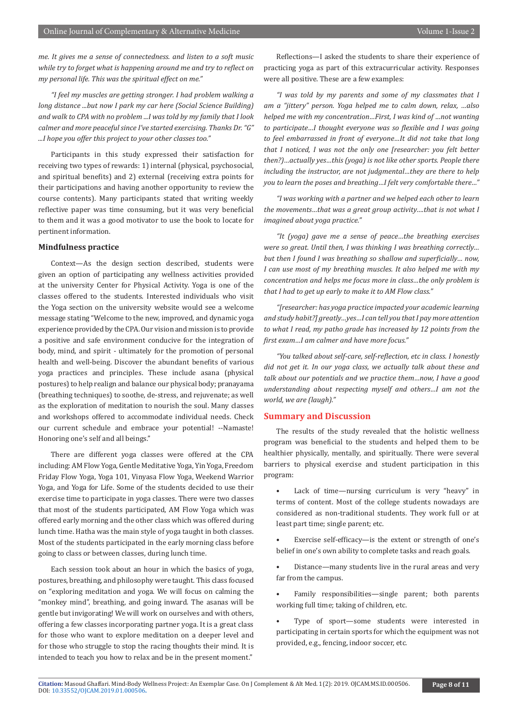*me. It gives me a sense of connectedness. and listen to a soft music while try to forget what is happening around me and try to reflect on my personal life. This was the spiritual effect on me."* 

*"I feel my muscles are getting stronger. I had problem walking a long distance ...but now I park my car here (Social Science Building) and walk to CPA with no problem ...I was told by my family that I look calmer and more peaceful since I've started exercising. Thanks Dr. "G" ...I hope you offer this project to your other classes too."* 

Participants in this study expressed their satisfaction for receiving two types of rewards: 1) internal (physical, psychosocial, and spiritual benefits) and 2) external (receiving extra points for their participations and having another opportunity to review the course contents). Many participants stated that writing weekly reflective paper was time consuming, but it was very beneficial to them and it was a good motivator to use the book to locate for pertinent information.

#### **Mindfulness practice**

Context—As the design section described, students were given an option of participating any wellness activities provided at the university Center for Physical Activity. Yoga is one of the classes offered to the students. Interested individuals who visit the Yoga section on the university website would see a welcome message stating "Welcome to the new, improved, and dynamic yoga experience provided by the CPA. Our vision and mission is to provide a positive and safe environment conducive for the integration of body, mind, and spirit - ultimately for the promotion of personal health and well-being. Discover the abundant benefits of various yoga practices and principles. These include asana (physical postures) to help realign and balance our physical body; pranayama (breathing techniques) to soothe, de-stress, and rejuvenate; as well as the exploration of meditation to nourish the soul. Many classes and workshops offered to accommodate individual needs. Check our current schedule and embrace your potential! --Namaste! Honoring one's self and all beings."

There are different yoga classes were offered at the CPA including: AM Flow Yoga, Gentle Meditative Yoga, Yin Yoga, Freedom Friday Flow Yoga, Yoga 101, Vinyasa Flow Yoga, Weekend Warrior Yoga, and Yoga for Life. Some of the students decided to use their exercise time to participate in yoga classes. There were two classes that most of the students participated, AM Flow Yoga which was offered early morning and the other class which was offered during lunch time. Hatha was the main style of yoga taught in both classes. Most of the students participated in the early morning class before going to class or between classes, during lunch time.

Each session took about an hour in which the basics of yoga, postures, breathing, and philosophy were taught. This class focused on "exploring meditation and yoga. We will focus on calming the "monkey mind", breathing, and going inward. The asanas will be gentle but invigorating! We will work on ourselves and with others, offering a few classes incorporating partner yoga. It is a great class for those who want to explore meditation on a deeper level and for those who struggle to stop the racing thoughts their mind. It is intended to teach you how to relax and be in the present moment."

Reflections—I asked the students to share their experience of practicing yoga as part of this extracurricular activity. Responses were all positive. These are a few examples:

*"I was told by my parents and some of my classmates that I am a "jittery" person. Yoga helped me to calm down, relax, …also helped me with my concentration…First, I was kind of …not wanting to participate…I thought everyone was so flexible and I was going to feel embarrassed in front of everyone…It did not take that long that I noticed, I was not the only one [researcher: you felt better then?)…actually yes…this (yoga) is not like other sports. People there including the instructor, are not judgmental…they are there to help you to learn the poses and breathing…I felt very comfortable there…"* 

*"I was working with a partner and we helped each other to learn the movements…that was a great group activity….that is not what I imagined about yoga practice."*

*"It (yoga) gave me a sense of peace…the breathing exercises were so great. Until then, I was thinking I was breathing correctly… but then I found I was breathing so shallow and superficially… now, I can use most of my breathing muscles. It also helped me with my concentration and helps me focus more in class…the only problem is that I had to get up early to make it to AM Flow class."* 

*"[researcher: has yoga practice impacted your academic learning and study habit?] greatly…yes…I can tell you that I pay more attention to what I read, my patho grade has increased by 12 points from the first exam…I am calmer and have more focus."*

*"You talked about self-care, self-reflection, etc in class. I honestly did not get it. In our yoga class, we actually talk about these and talk about our potentials and we practice them…now, I have a good understanding about respecting myself and others…I am not the world, we are (laugh)."* 

#### **Summary and Discussion**

The results of the study revealed that the holistic wellness program was beneficial to the students and helped them to be healthier physically, mentally, and spiritually. There were several barriers to physical exercise and student participation in this program:

- Lack of time—nursing curriculum is very "heavy" in terms of content. Most of the college students nowadays are considered as non-traditional students. They work full or at least part time; single parent; etc.
- Exercise self-efficacy—is the extent or strength of one's belief in one's own ability to complete tasks and reach goals.
- Distance—many students live in the rural areas and very far from the campus.
- Family responsibilities—single parent; both parents working full time; taking of children, etc.
- Type of sport-some students were interested in participating in certain sports for which the equipment was not provided, e.g., fencing, indoor soccer, etc.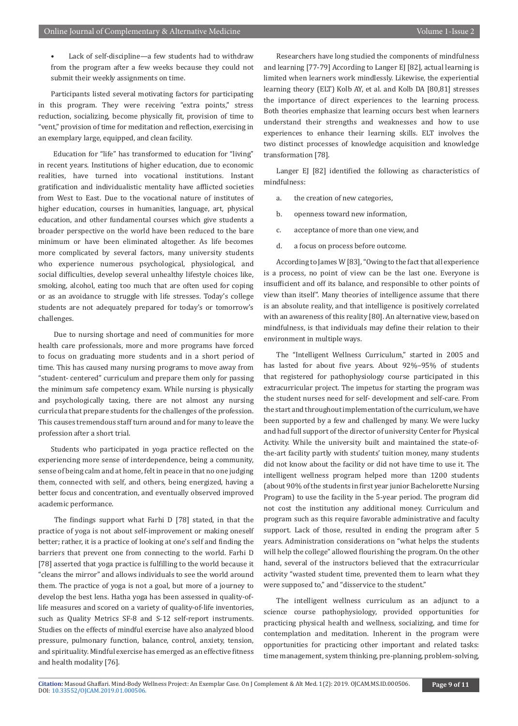Lack of self-discipline—a few students had to withdraw from the program after a few weeks because they could not submit their weekly assignments on time.

Participants listed several motivating factors for participating in this program. They were receiving "extra points," stress reduction, socializing, become physically fit, provision of time to "vent," provision of time for meditation and reflection, exercising in an exemplary large, equipped, and clean facility.

 Education for "life" has transformed to education for "living" in recent years. Institutions of higher education, due to economic realities, have turned into vocational institutions. Instant gratification and individualistic mentality have afflicted societies from West to East. Due to the vocational nature of institutes of higher education, courses in humanities, language, art, physical education, and other fundamental courses which give students a broader perspective on the world have been reduced to the bare minimum or have been eliminated altogether. As life becomes more complicated by several factors, many university students who experience numerous psychological, physiological, and social difficulties, develop several unhealthy lifestyle choices like, smoking, alcohol, eating too much that are often used for coping or as an avoidance to struggle with life stresses. Today's college students are not adequately prepared for today's or tomorrow's challenges.

 Due to nursing shortage and need of communities for more health care professionals, more and more programs have forced to focus on graduating more students and in a short period of time. This has caused many nursing programs to move away from "student- centered" curriculum and prepare them only for passing the minimum safe competency exam. While nursing is physically and psychologically taxing, there are not almost any nursing curricula that prepare students for the challenges of the profession. This causes tremendous staff turn around and for many to leave the profession after a short trial.

Students who participated in yoga practice reflected on the experiencing more sense of interdependence, being a community, sense of being calm and at home, felt in peace in that no one judging them, connected with self, and others, being energized, having a better focus and concentration, and eventually observed improved academic performance.

 The findings support what Farhi D [78] stated, in that the practice of yoga is not about self-improvement or making oneself better; rather, it is a practice of looking at one's self and finding the barriers that prevent one from connecting to the world. Farhi D [78] asserted that yoga practice is fulfilling to the world because it "cleans the mirror" and allows individuals to see the world around them. The practice of yoga is not a goal, but more of a journey to develop the best lens. Hatha yoga has been assessed in quality-oflife measures and scored on a variety of quality-of-life inventories, such as Quality Metrics SF-8 and S-12 self-report instruments. Studies on the effects of mindful exercise have also analyzed blood pressure, pulmonary function, balance, control, anxiety, tension, and spirituality. Mindful exercise has emerged as an effective fitness and health modality [76].

Researchers have long studied the components of mindfulness and learning [77-79] According to Langer EJ [82], actual learning is limited when learners work mindlessly. Likewise, the experiential learning theory (ELT) Kolb AY, et al. and Kolb DA [80,81] stresses the importance of direct experiences to the learning process. Both theories emphasize that learning occurs best when learners understand their strengths and weaknesses and how to use experiences to enhance their learning skills. ELT involves the two distinct processes of knowledge acquisition and knowledge transformation [78].

Langer EJ [82] identified the following as characteristics of mindfulness:

- a. the creation of new categories,
- b. openness toward new information,
- c. acceptance of more than one view, and
- d. a focus on process before outcome.

According to James W [83], "Owing to the fact that all experience is a process, no point of view can be the last one. Everyone is insufficient and off its balance, and responsible to other points of view than itself". Many theories of intelligence assume that there is an absolute reality, and that intelligence is positively correlated with an awareness of this reality [80]. An alternative view, based on mindfulness, is that individuals may define their relation to their environment in multiple ways.

The "Intelligent Wellness Curriculum," started in 2005 and has lasted for about five years. About 92%–95% of students that registered for pathophysiology course participated in this extracurricular project. The impetus for starting the program was the student nurses need for self- development and self-care. From the start and throughout implementation of the curriculum, we have been supported by a few and challenged by many. We were lucky and had full support of the director of university Center for Physical Activity. While the university built and maintained the state-ofthe-art facility partly with students' tuition money, many students did not know about the facility or did not have time to use it. The intelligent wellness program helped more than 1200 students (about 90% of the students in first year junior Bachelorette Nursing Program) to use the facility in the 5-year period. The program did not cost the institution any additional money. Curriculum and program such as this require favorable administrative and faculty support. Lack of those, resulted in ending the program after 5 years. Administration considerations on "what helps the students will help the college" allowed flourishing the program. On the other hand, several of the instructors believed that the extracurricular activity "wasted student time, prevented them to learn what they were supposed to," and "disservice to the student."

The intelligent wellness curriculum as an adjunct to a science course pathophysiology, provided opportunities for practicing physical health and wellness, socializing, and time for contemplation and meditation. Inherent in the program were opportunities for practicing other important and related tasks: time management, system thinking, pre-planning, problem-solving,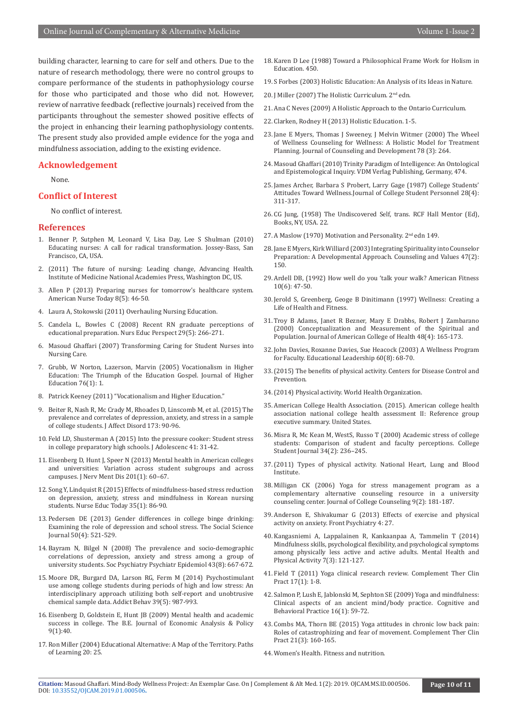building character, learning to care for self and others. Due to the nature of research methodology, there were no control groups to compare performance of the students in pathophysiology course for those who participated and those who did not. However, review of narrative feedback (reflective journals) received from the participants throughout the semester showed positive effects of the project in enhancing their learning pathophysiology contents. The present study also provided ample evidence for the yoga and mindfulness association, adding to the existing evidence.

#### **Acknowledgement**

None.

#### **Conflict of Interest**

No conflict of interest.

#### **References**

- 1. [Benner P, Sutphen M, Leonard V, Lisa Day, Lee S Shulman \(2010\)](https://www.wiley.com/en-us/Educating+Nurses%3A+A+Call+for+Radical+Transformation-p-9780470457962) [Educating nurses: A call for radical transformation. Jossey-Bass, San](https://www.wiley.com/en-us/Educating+Nurses%3A+A+Call+for+Radical+Transformation-p-9780470457962) [Francisco, CA, USA.](https://www.wiley.com/en-us/Educating+Nurses%3A+A+Call+for+Radical+Transformation-p-9780470457962)
- 2. [\(2011\) The future of nursing: Leading change, Advancing Health.](https://www.ncbi.nlm.nih.gov/pubmed/24983041) [Institute of Medicine National Academies Press, Washington DC, US.](https://www.ncbi.nlm.nih.gov/pubmed/24983041)
- 3. [Allen P \(2013\) Preparing nurses for tomorrow's healthcare system.](https://www.americannursetoday.com/preparing-nurses-for-tomorrows-healthcare-system/) [American Nurse Today 8\(5\): 46-50.](https://www.americannursetoday.com/preparing-nurses-for-tomorrows-healthcare-system/)
- 4. Laura A, Stokowski (2011) Overhauling Nursing Education.
- 5. [Candela L, Bowles C \(2008\) Recent RN graduate perceptions of](https://www.ncbi.nlm.nih.gov/pubmed/18834055) [educational preparation. Nurs Educ Perspect 29\(5\): 266-271.](https://www.ncbi.nlm.nih.gov/pubmed/18834055)
- 6. Masoud Ghaffari (2007) Transforming Caring for Student Nurses into Nursing Care.
- 7. Grubb, [W Norton, Lazerson, Marvin \(2005\) Vocationalism in Higher](http://connection.ebscohost.com/c/articles/15330123/vocationalism-higher-education-triumph-education-gospel) [Education: The Triumph of the Education Gospel. Journal of Higher](http://connection.ebscohost.com/c/articles/15330123/vocationalism-higher-education-triumph-education-gospel) [Education 76\(1\): 1.](http://connection.ebscohost.com/c/articles/15330123/vocationalism-higher-education-triumph-education-gospel)
- 8. Patrick Keeney (2011) "Vocationalism and Higher Education."
- 9. [Beiter R, Nash R, Mc Crady M, Rhoades D, Linscomb M, et al. \(2015\) The](https://www.ncbi.nlm.nih.gov/pubmed/25462401) [prevalence and correlates of depression, anxiety, and stress in a sample](https://www.ncbi.nlm.nih.gov/pubmed/25462401) [of college students. J Affect Disord 173: 90-96.](https://www.ncbi.nlm.nih.gov/pubmed/25462401)
- 10. [Feld LD, Shusterman A \(2015\) Into the pressure cooker: Student stress](https://www.ncbi.nlm.nih.gov/pubmed/25780894) [in college preparatory high schools. J Adolescenc 41: 31-42.](https://www.ncbi.nlm.nih.gov/pubmed/25780894)
- 11. [Eisenberg D, Hunt J, Speer N \(2013\) Mental health in American colleges](https://www.ncbi.nlm.nih.gov/pubmed/23274298) [and universities: Variation across student subgroups and across](https://www.ncbi.nlm.nih.gov/pubmed/23274298) [campuses. J Nerv Ment Dis 201\(1\): 60–67.](https://www.ncbi.nlm.nih.gov/pubmed/23274298)
- 12. [Song Y, Lindquist R \(2015\) Effects of mindfulness-based stress reduction](https://www.ncbi.nlm.nih.gov/pubmed/25066651) [on depression, anxiety, stress and mindfulness in Korean nursing](https://www.ncbi.nlm.nih.gov/pubmed/25066651) [students. Nurse Educ Today 35\(1\): 86-90.](https://www.ncbi.nlm.nih.gov/pubmed/25066651)
- 13. Pedersen DE (2013) Gender differences in college binge drinking: Examining the role of depression and school stress. The Social Science Journal 50(4): 521-529.
- 14. [Bayram N, Bilgel N \(2008\) The prevalence and socio-demographic](https://www.ncbi.nlm.nih.gov/pubmed/18398558) [correlations of depression, anxiety and stress among a group of](https://www.ncbi.nlm.nih.gov/pubmed/18398558) [university students. Soc Psychiatry Psychiatr Epidemiol 43\(8\): 667-672.](https://www.ncbi.nlm.nih.gov/pubmed/18398558)
- 15. [Moore DR, Burgard DA, Larson RG, Ferm M \(2014\) Psychostimulant](https://www.ncbi.nlm.nih.gov/pubmed/24561016) [use among college students during periods of high and low stress: An](https://www.ncbi.nlm.nih.gov/pubmed/24561016) [interdisciplinary approach utilizing both self-report and unobtrusive](https://www.ncbi.nlm.nih.gov/pubmed/24561016) [chemical sample data. Addict Behav 39\(5\): 987-993.](https://www.ncbi.nlm.nih.gov/pubmed/24561016)
- 16. [Eisenberg D, Goldstein E, Hunt JB \(2009\) Mental health and academic](https://www.psc.isr.umich.edu/pubs/abs/8880) [success in college. The B.E. Journal of Economic Analysis & Policy](https://www.psc.isr.umich.edu/pubs/abs/8880) [9\(1\):40.](https://www.psc.isr.umich.edu/pubs/abs/8880)
- 17. Ron Miller (2004) Educational Alternative: A Map of the Territory. Paths of Learning 20: 25.
- 18. Karen D Lee (1988) Toward a Philosophical Frame Work for Holism in Education. 450.
- 19. [S Forbes \(2003\) Holistic Education: An Analysis of its Ideas in Nature.](https://philpapers.org/rec/FORHEA)
- 20. J Miller (2007) The Holistic Curriculum. 2nd edn.
- 21. [Ana C Neves \(2009\) A Holistic Approach to the Ontario Curriculum.](https://tspace.library.utoronto.ca/handle/1807/18107)
- 22. Clarken, Rodney H (2013) Holistic Education. 1-5.
- 23. [Jane E Myers, Thomas J Sweeney, J Melvin Witmer \(2000\) The Wheel](https://psycnet.apa.org/record/2000-05997-001)  [of Wellness Counseling for Wellness: A Holistic Model for Treatment](https://psycnet.apa.org/record/2000-05997-001)  [Planning. Journal of Counseling and Development 78 \(3\): 264.](https://psycnet.apa.org/record/2000-05997-001)
- 24. Masoud Ghaffari (2010) Trinity Paradigm of Intelligence: An Ontological and Epistemological Inquiry. VDM Verlag Publishing, Germany, 474.
- 25. [James Archer, Barbara S Probert, Larry Gage \(1987\) College Students'](https://psycnet.apa.org/record/1988-27956-001)  [Attitudes Toward Wellness.Journal of College Student Personnel 28\(4\):](https://psycnet.apa.org/record/1988-27956-001)  [311-317.](https://psycnet.apa.org/record/1988-27956-001)
- 26. CG Jung, (1958) The Undiscovered Self, trans. RCF Hall Mentor (Ed), Books, NY, USA. 22.
- 27. A Maslow (1970) Motivation and Personality. 2<sup>nd</sup> edn 149.
- 28. [Jane E Myers, Kirk Williard \(2003\) Integrating Spirituality into Counselor](https://onlinelibrary.wiley.com/doi/abs/10.1002/j.2161-007X.2003.tb00231.x)  [Preparation: A Developmental Approach. Counseling and Values 47\(2\):](https://onlinelibrary.wiley.com/doi/abs/10.1002/j.2161-007X.2003.tb00231.x)  [150.](https://onlinelibrary.wiley.com/doi/abs/10.1002/j.2161-007X.2003.tb00231.x)
- 29. Ardell DB, (1992) How well do you 'talk your walk? American Fitness 10(6): 47-50.
- 30. Jerold S, Greenberg, Geoge B Dinitimann (1997) Wellness: Creating a Life of Health and Fitness.
- 31. Troy B Adams, Janet R Bezner, Mary E Drabbs, Robert J Zambarano (2000) Conceptualization and Measurement of the Spiritual and Population. Journal of American College of Health 48(4): 165-173.
- 32. [John Davies, Roxanne Davies, Sue Heacock \(2003\) A Wellness Program](http://www.ascd.org/publications/educational-leadership/may03/vol60/num08/A-Wellness-Program-for-Faculty.aspx)  [for Faculty. Educational Leadership 60\(8\): 68-70.](http://www.ascd.org/publications/educational-leadership/may03/vol60/num08/A-Wellness-Program-for-Faculty.aspx)
- 33.[\(2015\) The benefits of physical activity. Centers for Disease Control and](https://www.cdc.gov/physicalactivity/basics/index.htm)  [Prevention.](https://www.cdc.gov/physicalactivity/basics/index.htm)
- 34.[\(2014\) Physical activity. World Health Organization.](https://www.who.int/en/news-room/fact-sheets/detail/physical-activity)
- 35. American College Health Association. (2015). American college health association national college health assessment II: Reference group executive summary. United States.
- 36. [Misra R, Mc Kean M, WestS, Russo T \(2000\) Academic stress of college](https://psycnet.apa.org/record/2000-00307-007)  [students: Comparison of student and faculty perceptions. College](https://psycnet.apa.org/record/2000-00307-007)  [Student Journal 34\(2\): 236–245.](https://psycnet.apa.org/record/2000-00307-007)
- 37.(2011) Types of physical activity. National Heart, Lung and Blood Institute.
- 38. [Milligan CK \(2006\) Yoga for stress management program as a](https://onlinelibrary.wiley.com/doi/abs/10.1002/j.2161-1882.2006.tb00105.x)  [complementary alternative counseling resource in a university](https://onlinelibrary.wiley.com/doi/abs/10.1002/j.2161-1882.2006.tb00105.x)  [counseling center. Journal of College Counseling 9\(2\): 181-187.](https://onlinelibrary.wiley.com/doi/abs/10.1002/j.2161-1882.2006.tb00105.x)
- 39. [Anderson E, Shivakumar G \(2013\) Effects of exercise and physical](https://www.ncbi.nlm.nih.gov/pubmed/23630504)  [activity on anxiety. Front Psychiatry 4: 27.](https://www.ncbi.nlm.nih.gov/pubmed/23630504)
- 40. [Kangasniemi A, Lappalainen R, Kankaanpaa A, Tammelin T \(2014\)](https://www.sciencedirect.com/science/article/pii/S1755296614000362)  [Mindfulness skills, psychological flexibility, and psychological symptoms](https://www.sciencedirect.com/science/article/pii/S1755296614000362)  [among physically less active and active adults. Mental Health and](https://www.sciencedirect.com/science/article/pii/S1755296614000362)  [Physical Activity 7\(3\): 121-127.](https://www.sciencedirect.com/science/article/pii/S1755296614000362)
- 41. [Field T \(2011\) Yoga clinical research review. Complement Ther Clin](https://www.ncbi.nlm.nih.gov/pubmed/21168106)  [Pract 17\(1\): 1-8.](https://www.ncbi.nlm.nih.gov/pubmed/21168106)
- 42. [Salmon P, Lush E, Jablonski M, Sephton SE \(2009\) Yoga and mindfulness:](https://psycnet.apa.org/record/2009-06469-008)  [Clinical aspects of an ancient mind/body practice. Cognitive and](https://psycnet.apa.org/record/2009-06469-008)  [Behavioral Practice 16\(1\): 59-72.](https://psycnet.apa.org/record/2009-06469-008)
- 43. [Combs MA, Thorn BE \(2015\) Yoga attitudes in chronic low back pain:](https://www.ncbi.nlm.nih.gov/pubmed/26256134)  [Roles of catastrophizing and fear of movement. Complement Ther Clin](https://www.ncbi.nlm.nih.gov/pubmed/26256134)  [Pract 21\(3\): 160-165.](https://www.ncbi.nlm.nih.gov/pubmed/26256134)
- 44. Women's Health. Fitness and nutrition.